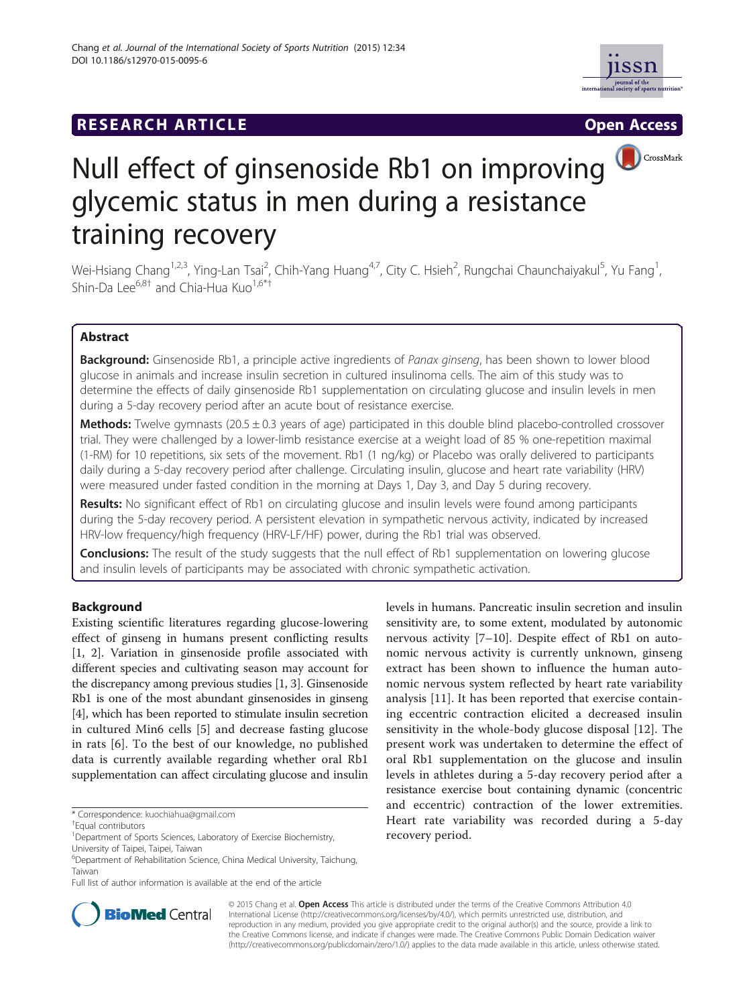



CrossMark

# Null effect of ginsenoside Rb1 on improving glycemic status in men during a resistance training recovery

Wei-Hsiang Chang<sup>1,2,3</sup>, Ying-Lan Tsai<sup>2</sup>, Chih-Yang Huang<sup>4,7</sup>, City C. Hsieh<sup>2</sup>, Rungchai Chaunchaiyakul<sup>5</sup>, Yu Fang<sup>1</sup> , Shin-Da Lee<sup>6,8†</sup> and Chia-Hua Kuo<sup>1,6\*†</sup>

# Abstract

Background: Ginsenoside Rb1, a principle active ingredients of Panax ginseng, has been shown to lower blood glucose in animals and increase insulin secretion in cultured insulinoma cells. The aim of this study was to determine the effects of daily ginsenoside Rb1 supplementation on circulating glucose and insulin levels in men during a 5-day recovery period after an acute bout of resistance exercise.

**Methods:** Twelve gymnasts (20.5  $\pm$  0.3 years of age) participated in this double blind placebo-controlled crossover trial. They were challenged by a lower-limb resistance exercise at a weight load of 85 % one-repetition maximal (1-RM) for 10 repetitions, six sets of the movement. Rb1 (1 ng/kg) or Placebo was orally delivered to participants daily during a 5-day recovery period after challenge. Circulating insulin, glucose and heart rate variability (HRV) were measured under fasted condition in the morning at Days 1, Day 3, and Day 5 during recovery.

Results: No significant effect of Rb1 on circulating glucose and insulin levels were found among participants during the 5-day recovery period. A persistent elevation in sympathetic nervous activity, indicated by increased HRV-low frequency/high frequency (HRV-LF/HF) power, during the Rb1 trial was observed.

**Conclusions:** The result of the study suggests that the null effect of Rb1 supplementation on lowering glucose and insulin levels of participants may be associated with chronic sympathetic activation.

# Background

Existing scientific literatures regarding glucose-lowering effect of ginseng in humans present conflicting results [[1, 2\]](#page-4-0). Variation in ginsenoside profile associated with different species and cultivating season may account for the discrepancy among previous studies [\[1, 3](#page-4-0)]. Ginsenoside Rb1 is one of the most abundant ginsenosides in ginseng [[4\]](#page-4-0), which has been reported to stimulate insulin secretion in cultured Min6 cells [[5](#page-4-0)] and decrease fasting glucose in rats [[6\]](#page-4-0). To the best of our knowledge, no published data is currently available regarding whether oral Rb1 supplementation can affect circulating glucose and insulin





© 2015 Chang et al. Open Access This article is distributed under the terms of the Creative Commons Attribution 4.0 International License [\(http://creativecommons.org/licenses/by/4.0/](http://creativecommons.org/licenses/by/4.0/)), which permits unrestricted use, distribution, and reproduction in any medium, provided you give appropriate credit to the original author(s) and the source, provide a link to the Creative Commons license, and indicate if changes were made. The Creative Commons Public Domain Dedication waiver [\(http://creativecommons.org/publicdomain/zero/1.0/](http://creativecommons.org/publicdomain/zero/1.0/)) applies to the data made available in this article, unless otherwise stated.

<sup>\*</sup> Correspondence: [kuochiahua@gmail.com](mailto:kuochiahua@gmail.com) †

Equal contributors

<sup>&</sup>lt;sup>1</sup>Department of Sports Sciences, Laboratory of Exercise Biochemistry, University of Taipei, Taipei, Taiwan

<sup>6</sup> Department of Rehabilitation Science, China Medical University, Taichung, Taiwan

Full list of author information is available at the end of the article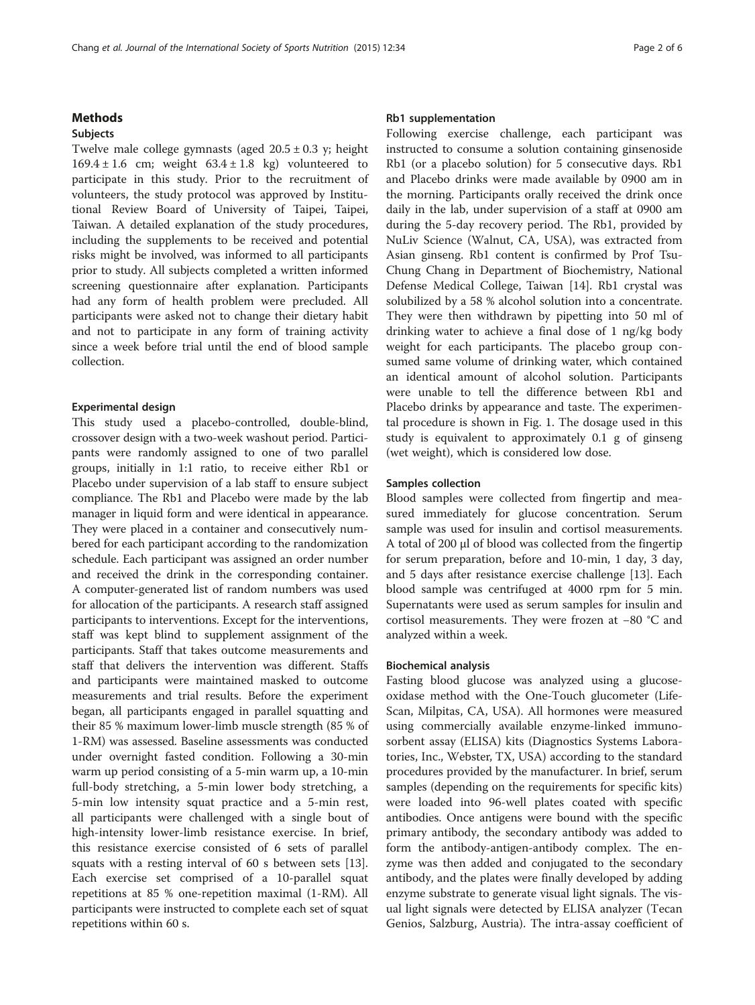### **Methods**

## Subjects

Twelve male college gymnasts (aged  $20.5 \pm 0.3$  y; height  $169.4 \pm 1.6$  cm; weight  $63.4 \pm 1.8$  kg) volunteered to participate in this study. Prior to the recruitment of volunteers, the study protocol was approved by Institutional Review Board of University of Taipei, Taipei, Taiwan. A detailed explanation of the study procedures, including the supplements to be received and potential risks might be involved, was informed to all participants prior to study. All subjects completed a written informed screening questionnaire after explanation. Participants had any form of health problem were precluded. All participants were asked not to change their dietary habit and not to participate in any form of training activity since a week before trial until the end of blood sample collection.

### Experimental design

This study used a placebo-controlled, double-blind, crossover design with a two-week washout period. Participants were randomly assigned to one of two parallel groups, initially in 1:1 ratio, to receive either Rb1 or Placebo under supervision of a lab staff to ensure subject compliance. The Rb1 and Placebo were made by the lab manager in liquid form and were identical in appearance. They were placed in a container and consecutively numbered for each participant according to the randomization schedule. Each participant was assigned an order number and received the drink in the corresponding container. A computer-generated list of random numbers was used for allocation of the participants. A research staff assigned participants to interventions. Except for the interventions, staff was kept blind to supplement assignment of the participants. Staff that takes outcome measurements and staff that delivers the intervention was different. Staffs and participants were maintained masked to outcome measurements and trial results. Before the experiment began, all participants engaged in parallel squatting and their 85 % maximum lower-limb muscle strength (85 % of 1-RM) was assessed. Baseline assessments was conducted under overnight fasted condition. Following a 30-min warm up period consisting of a 5-min warm up, a 10-min full-body stretching, a 5-min lower body stretching, a 5-min low intensity squat practice and a 5-min rest, all participants were challenged with a single bout of high-intensity lower-limb resistance exercise. In brief, this resistance exercise consisted of 6 sets of parallel squats with a resting interval of 60 s between sets [\[13](#page-4-0)]. Each exercise set comprised of a 10-parallel squat repetitions at 85 % one-repetition maximal (1-RM). All participants were instructed to complete each set of squat repetitions within 60 s.

#### Rb1 supplementation

Following exercise challenge, each participant was instructed to consume a solution containing ginsenoside Rb1 (or a placebo solution) for 5 consecutive days. Rb1 and Placebo drinks were made available by 0900 am in the morning. Participants orally received the drink once daily in the lab, under supervision of a staff at 0900 am during the 5-day recovery period. The Rb1, provided by NuLiv Science (Walnut, CA, USA), was extracted from Asian ginseng. Rb1 content is confirmed by Prof Tsu-Chung Chang in Department of Biochemistry, National Defense Medical College, Taiwan [\[14](#page-4-0)]. Rb1 crystal was solubilized by a 58 % alcohol solution into a concentrate. They were then withdrawn by pipetting into 50 ml of drinking water to achieve a final dose of 1 ng/kg body weight for each participants. The placebo group consumed same volume of drinking water, which contained an identical amount of alcohol solution. Participants were unable to tell the difference between Rb1 and Placebo drinks by appearance and taste. The experimental procedure is shown in Fig. [1](#page-2-0). The dosage used in this study is equivalent to approximately 0.1 g of ginseng (wet weight), which is considered low dose.

## Samples collection

Blood samples were collected from fingertip and measured immediately for glucose concentration. Serum sample was used for insulin and cortisol measurements. A total of 200 μl of blood was collected from the fingertip for serum preparation, before and 10-min, 1 day, 3 day, and 5 days after resistance exercise challenge [\[13\]](#page-4-0). Each blood sample was centrifuged at 4000 rpm for 5 min. Supernatants were used as serum samples for insulin and cortisol measurements. They were frozen at −80 °C and analyzed within a week.

#### Biochemical analysis

Fasting blood glucose was analyzed using a glucoseoxidase method with the One-Touch glucometer (Life-Scan, Milpitas, CA, USA). All hormones were measured using commercially available enzyme-linked immunosorbent assay (ELISA) kits (Diagnostics Systems Laboratories, Inc., Webster, TX, USA) according to the standard procedures provided by the manufacturer. In brief, serum samples (depending on the requirements for specific kits) were loaded into 96-well plates coated with specific antibodies. Once antigens were bound with the specific primary antibody, the secondary antibody was added to form the antibody-antigen-antibody complex. The enzyme was then added and conjugated to the secondary antibody, and the plates were finally developed by adding enzyme substrate to generate visual light signals. The visual light signals were detected by ELISA analyzer (Tecan Genios, Salzburg, Austria). The intra-assay coefficient of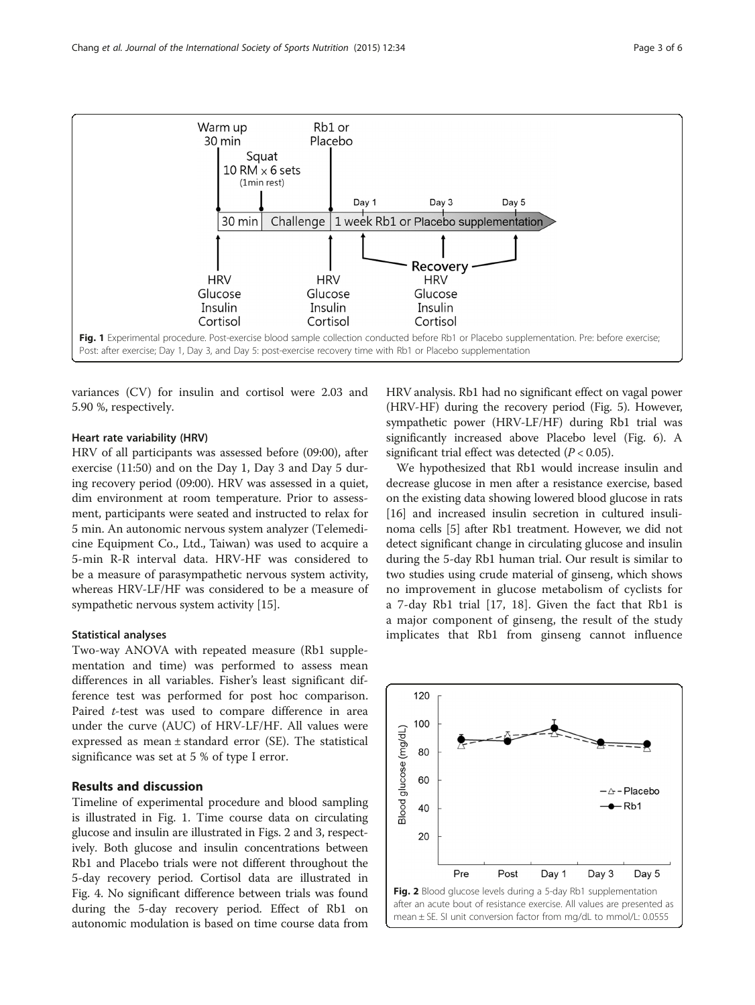<span id="page-2-0"></span>

variances (CV) for insulin and cortisol were 2.03 and 5.90 %, respectively.

## Heart rate variability (HRV)

HRV of all participants was assessed before (09:00), after exercise (11:50) and on the Day 1, Day 3 and Day 5 during recovery period (09:00). HRV was assessed in a quiet, dim environment at room temperature. Prior to assessment, participants were seated and instructed to relax for 5 min. An autonomic nervous system analyzer (Telemedicine Equipment Co., Ltd., Taiwan) was used to acquire a 5-min R-R interval data. HRV-HF was considered to be a measure of parasympathetic nervous system activity, whereas HRV-LF/HF was considered to be a measure of sympathetic nervous system activity [[15](#page-4-0)].

## Statistical analyses

Two-way ANOVA with repeated measure (Rb1 supplementation and time) was performed to assess mean differences in all variables. Fisher's least significant difference test was performed for post hoc comparison. Paired t-test was used to compare difference in area under the curve (AUC) of HRV-LF/HF. All values were expressed as mean ± standard error (SE). The statistical significance was set at 5 % of type I error.

## Results and discussion

Timeline of experimental procedure and blood sampling is illustrated in Fig. 1. Time course data on circulating glucose and insulin are illustrated in Figs. 2 and [3](#page-3-0), respectively. Both glucose and insulin concentrations between Rb1 and Placebo trials were not different throughout the 5-day recovery period. Cortisol data are illustrated in Fig. [4](#page-3-0). No significant difference between trials was found during the 5-day recovery period. Effect of Rb1 on autonomic modulation is based on time course data from

HRV analysis. Rb1 had no significant effect on vagal power (HRV-HF) during the recovery period (Fig. [5](#page-3-0)). However, sympathetic power (HRV-LF/HF) during Rb1 trial was significantly increased above Placebo level (Fig. [6](#page-4-0)). A significant trial effect was detected  $(P < 0.05)$ .

We hypothesized that Rb1 would increase insulin and decrease glucose in men after a resistance exercise, based on the existing data showing lowered blood glucose in rats [[16](#page-4-0)] and increased insulin secretion in cultured insulinoma cells [\[5](#page-4-0)] after Rb1 treatment. However, we did not detect significant change in circulating glucose and insulin during the 5-day Rb1 human trial. Our result is similar to two studies using crude material of ginseng, which shows no improvement in glucose metabolism of cyclists for a 7-day Rb1 trial [[17,](#page-4-0) [18\]](#page-5-0). Given the fact that Rb1 is a major component of ginseng, the result of the study implicates that Rb1 from ginseng cannot influence

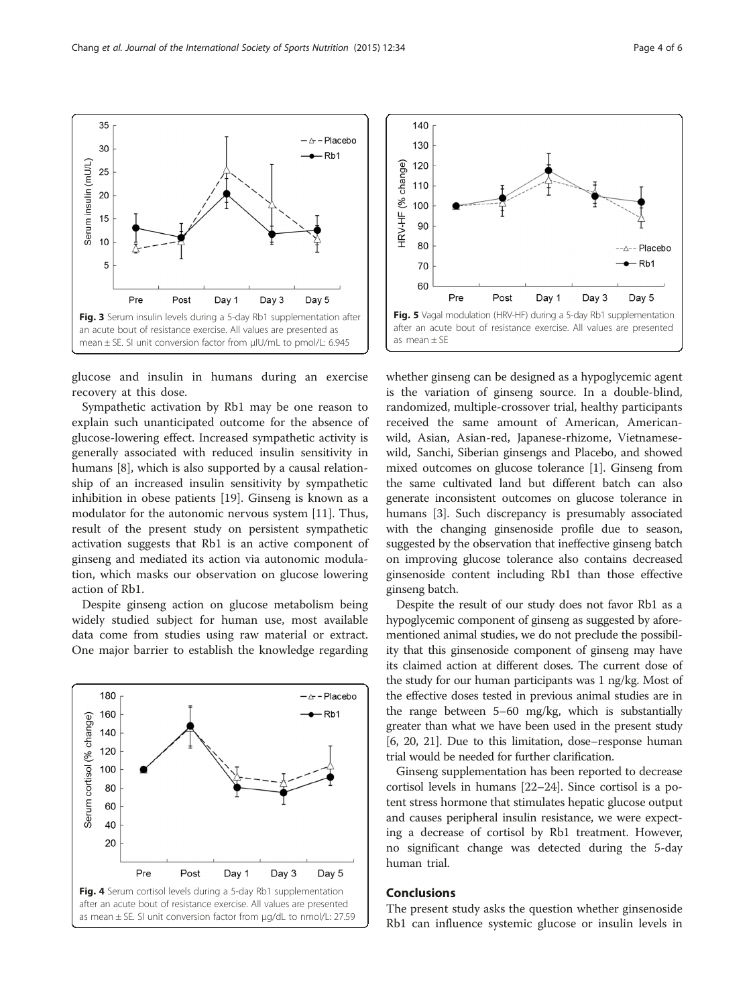glucose and insulin in humans during an exercise recovery at this dose.

Sympathetic activation by Rb1 may be one reason to explain such unanticipated outcome for the absence of glucose-lowering effect. Increased sympathetic activity is generally associated with reduced insulin sensitivity in humans [\[8](#page-4-0)], which is also supported by a causal relationship of an increased insulin sensitivity by sympathetic inhibition in obese patients [\[19\]](#page-5-0). Ginseng is known as a modulator for the autonomic nervous system [\[11\]](#page-4-0). Thus, result of the present study on persistent sympathetic activation suggests that Rb1 is an active component of ginseng and mediated its action via autonomic modulation, which masks our observation on glucose lowering action of Rb1.

Despite ginseng action on glucose metabolism being widely studied subject for human use, most available data come from studies using raw material or extract. One major barrier to establish the knowledge regarding



whether ginseng can be designed as a hypoglycemic agent is the variation of ginseng source. In a double-blind, randomized, multiple-crossover trial, healthy participants received the same amount of American, Americanwild, Asian, Asian-red, Japanese-rhizome, Vietnamesewild, Sanchi, Siberian ginsengs and Placebo, and showed mixed outcomes on glucose tolerance [\[1\]](#page-4-0). Ginseng from the same cultivated land but different batch can also generate inconsistent outcomes on glucose tolerance in humans [[3](#page-4-0)]. Such discrepancy is presumably associated with the changing ginsenoside profile due to season, suggested by the observation that ineffective ginseng batch on improving glucose tolerance also contains decreased ginsenoside content including Rb1 than those effective ginseng batch.

Despite the result of our study does not favor Rb1 as a hypoglycemic component of ginseng as suggested by aforementioned animal studies, we do not preclude the possibility that this ginsenoside component of ginseng may have its claimed action at different doses. The current dose of the study for our human participants was 1 ng/kg. Most of the effective doses tested in previous animal studies are in the range between 5–60 mg/kg, which is substantially greater than what we have been used in the present study [[6](#page-4-0), [20](#page-5-0), [21\]](#page-5-0). Due to this limitation, dose–response human trial would be needed for further clarification.

Ginseng supplementation has been reported to decrease cortisol levels in humans [\[22](#page-5-0)–[24](#page-5-0)]. Since cortisol is a potent stress hormone that stimulates hepatic glucose output and causes peripheral insulin resistance, we were expecting a decrease of cortisol by Rb1 treatment. However, no significant change was detected during the 5-day human trial.

## Conclusions

The present study asks the question whether ginsenoside Rb1 can influence systemic glucose or insulin levels in

<span id="page-3-0"></span>

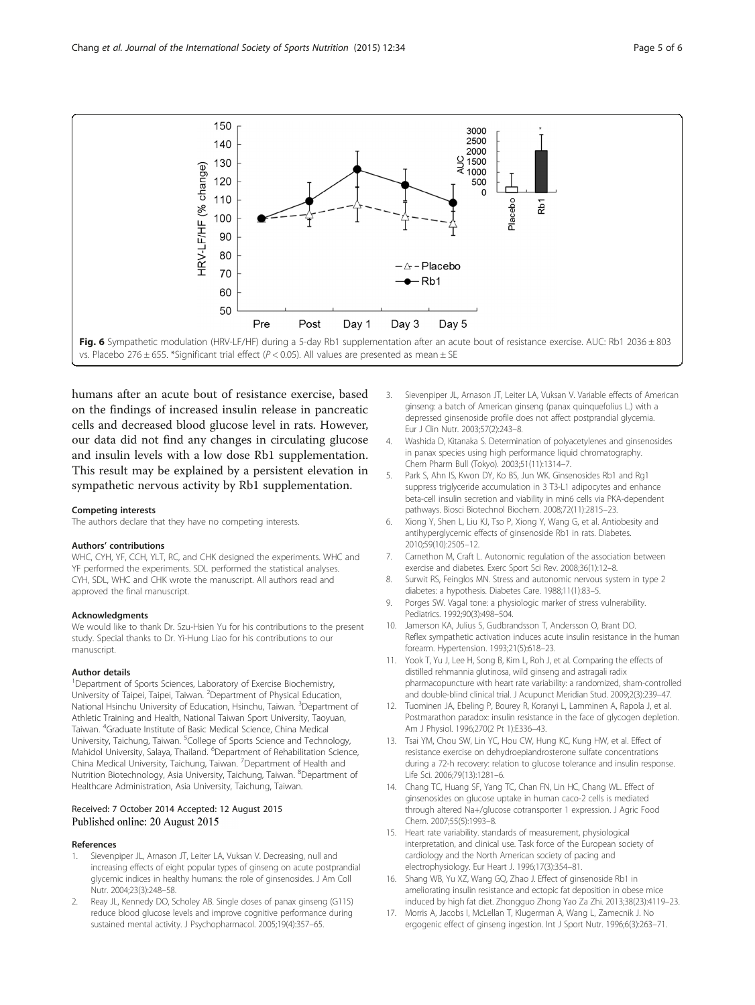<span id="page-4-0"></span>

humans after an acute bout of resistance exercise, based on the findings of increased insulin release in pancreatic cells and decreased blood glucose level in rats. However, our data did not find any changes in circulating glucose and insulin levels with a low dose Rb1 supplementation. This result may be explained by a persistent elevation in sympathetic nervous activity by Rb1 supplementation.

#### Competing interests

The authors declare that they have no competing interests.

#### Authors' contributions

WHC, CYH, YF, CCH, YLT, RC, and CHK designed the experiments. WHC and YF performed the experiments. SDL performed the statistical analyses. CYH, SDL, WHC and CHK wrote the manuscript. All authors read and approved the final manuscript.

#### Acknowledgments

We would like to thank Dr. Szu-Hsien Yu for his contributions to the present study. Special thanks to Dr. Yi-Hung Liao for his contributions to our manuscript.

#### Author details

<sup>1</sup>Department of Sports Sciences, Laboratory of Exercise Biochemistry, University of Taipei, Taipei, Taiwan. <sup>2</sup> Department of Physical Education, National Hsinchu University of Education, Hsinchu, Taiwan. <sup>3</sup>Department of Athletic Training and Health, National Taiwan Sport University, Taoyuan, Taiwan. <sup>4</sup> Graduate Institute of Basic Medical Science, China Medical University, Taichung, Taiwan. <sup>5</sup>College of Sports Science and Technology, Mahidol University, Salaya, Thailand. <sup>6</sup>Department of Rehabilitation Science, China Medical University, Taichung, Taiwan. <sup>7</sup> Department of Health and Nutrition Biotechnology, Asia University, Taichung, Taiwan. <sup>8</sup>Department of Healthcare Administration, Asia University, Taichung, Taiwan.

#### Received: 7 October 2014 Accepted: 12 August 2015 Published online: 20 August 2015

#### References

- Sievenpiper JL, Arnason JT, Leiter LA, Vuksan V. Decreasing, null and increasing effects of eight popular types of ginseng on acute postprandial glycemic indices in healthy humans: the role of ginsenosides. J Am Coll Nutr. 2004;23(3):248–58.
- Reay JL, Kennedy DO, Scholey AB. Single doses of panax ginseng (G115) reduce blood glucose levels and improve cognitive performance during sustained mental activity. J Psychopharmacol. 2005;19(4):357–65.
- 3. Sievenpiper JL, Arnason JT, Leiter LA, Vuksan V. Variable effects of American ginseng: a batch of American ginseng (panax quinquefolius L.) with a depressed ginsenoside profile does not affect postprandial glycemia. Eur J Clin Nutr. 2003;57(2):243–8.
- 4. Washida D, Kitanaka S. Determination of polyacetylenes and ginsenosides in panax species using high performance liquid chromatography. Chem Pharm Bull (Tokyo). 2003;51(11):1314–7.
- Park S, Ahn IS, Kwon DY, Ko BS, Jun WK. Ginsenosides Rb1 and Rg1 suppress triglyceride accumulation in 3 T3-L1 adipocytes and enhance beta-cell insulin secretion and viability in min6 cells via PKA-dependent pathways. Biosci Biotechnol Biochem. 2008;72(11):2815–23.
- 6. Xiong Y, Shen L, Liu KJ, Tso P, Xiong Y, Wang G, et al. Antiobesity and antihyperglycemic effects of ginsenoside Rb1 in rats. Diabetes. 2010;59(10):2505–12.
- 7. Carnethon M, Craft L. Autonomic regulation of the association between exercise and diabetes. Exerc Sport Sci Rev. 2008;36(1):12–8.
- 8. Surwit RS, Feinglos MN. Stress and autonomic nervous system in type 2 diabetes: a hypothesis. Diabetes Care. 1988;11(1):83–5.
- 9. Porges SW. Vagal tone: a physiologic marker of stress vulnerability. Pediatrics. 1992;90(3):498–504.
- 10. Jamerson KA, Julius S, Gudbrandsson T, Andersson O, Brant DO. Reflex sympathetic activation induces acute insulin resistance in the human forearm. Hypertension. 1993;21(5):618–23.
- 11. Yook T, Yu J, Lee H, Song B, Kim L, Roh J, et al. Comparing the effects of distilled rehmannia glutinosa, wild ginseng and astragali radix pharmacopuncture with heart rate variability: a randomized, sham-controlled and double-blind clinical trial. J Acupunct Meridian Stud. 2009;2(3):239–47.
- 12. Tuominen JA, Ebeling P, Bourey R, Koranyi L, Lamminen A, Rapola J, et al. Postmarathon paradox: insulin resistance in the face of glycogen depletion. Am J Physiol. 1996;270(2 Pt 1):E336–43.
- 13. Tsai YM, Chou SW, Lin YC, Hou CW, Hung KC, Kung HW, et al. Effect of resistance exercise on dehydroepiandrosterone sulfate concentrations during a 72-h recovery: relation to glucose tolerance and insulin response. Life Sci. 2006;79(13):1281–6.
- 14. Chang TC, Huang SF, Yang TC, Chan FN, Lin HC, Chang WL. Effect of ginsenosides on glucose uptake in human caco-2 cells is mediated through altered Na+/glucose cotransporter 1 expression. J Agric Food Chem. 2007;55(5):1993–8.
- 15. Heart rate variability. standards of measurement, physiological interpretation, and clinical use. Task force of the European society of cardiology and the North American society of pacing and electrophysiology. Eur Heart J. 1996;17(3):354–81.
- 16. Shang WB, Yu XZ, Wang GQ, Zhao J. Effect of ginsenoside Rb1 in ameliorating insulin resistance and ectopic fat deposition in obese mice induced by high fat diet. Zhongguo Zhong Yao Za Zhi. 2013;38(23):4119–23.
- 17. Morris A, Jacobs I, McLellan T, Klugerman A, Wang L, Zamecnik J. No ergogenic effect of ginseng ingestion. Int J Sport Nutr. 1996;6(3):263–71.